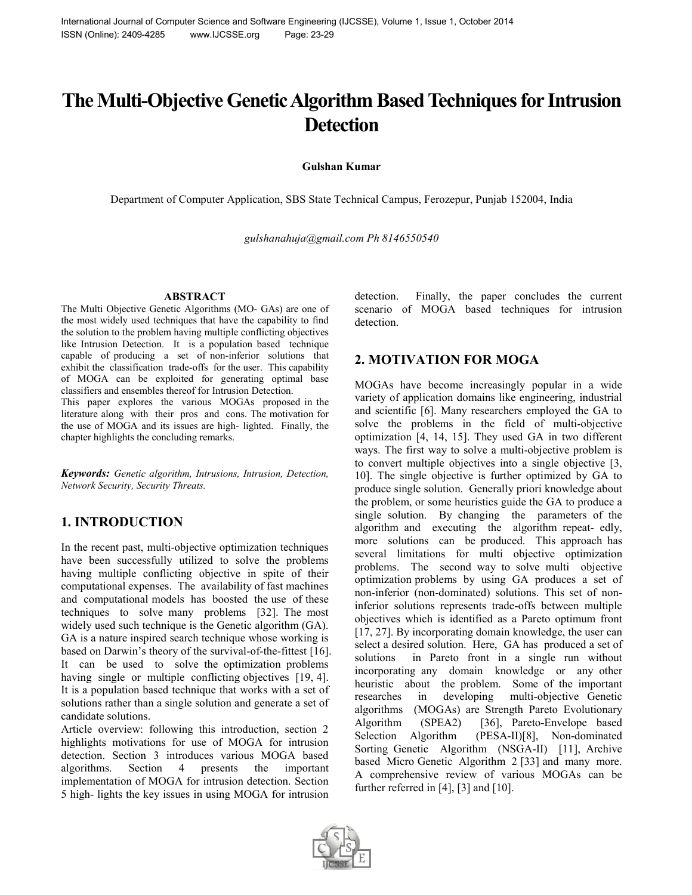# **The Multi-Objective Genetic Algorithm Based Techniques for Intrusion Detection**

**Gulshan Kumar**

Department of Computer Application, SBS State Technical Campus, Ferozepur, Punjab 152004, India

*gulshanahuja@gmail.com Ph 8146550540*

#### **ABSTRACT**

The Multi Objective Genetic Algorithms (MO- GAs) are one of the most widely used techniques that have the capability to find the solution to the problem having multiple conflicting objectives like Intrusion Detection. It is a population based technique capable of producing a set of non-inferior solutions that exhibit the classification trade-offs for the user. This capability of MOGA can be exploited for generating optimal base classifiers and ensembles thereof for Intrusion Detection.

This paper explores the various MOGAs proposed in the literature along with their pros and cons. The motivation for the use of MOGA and its issues are high- lighted. Finally, the chapter highlights the concluding remarks.

*Keywords: Genetic algorithm, Intrusions, Intrusion, Detection, Network Security, Security Threats.*

## **1. INTRODUCTION**

In the recent past, multi-objective optimization techniques have been successfully utilized to solve the problems having multiple conflicting objective in spite of their computational expenses. The availability of fast machines and computational models has boosted the use of these techniques to solve many problems [32]. The most widely used such technique is the Genetic algorithm (GA). GA is a nature inspired search technique whose working is based on Darwin's theory of the survival-of-the-fittest [16]. It can be used to solve the optimization problems having single or multiple conflicting objectives [19, 4]. It is a population based technique that works with a set of solutions rather than a single solution and generate a set of candidate solutions.

Article overview: following this introduction, section 2 highlights motivations for use of MOGA for intrusion detection. Section 3 introduces various MOGA based algorithms. Section 4 presents the important implementation of MOGA for intrusion detection. Section 5 high- lights the key issues in using MOGA for intrusion

detection. Finally, the paper concludes the current scenario of MOGA based techniques for intrusion detection.

#### **2. MOTIVATION FOR MOGA**

MOGAs have become increasingly popular in a wide variety of application domains like engineering, industrial and scientific [6]. Many researchers employed the GA to solve the problems in the field of multi-objective optimization [4, 14, 15]. They used GA in two different ways. The first way to solve a multi-objective problem is to convert multiple objectives into a single objective [3, 10]. The single objective is further optimized by GA to produce single solution. Generally priori knowledge about the problem, or some heuristics guide the GA to produce a single solution. By changing the parameters of the algorithm and executing the algorithm repeat- edly, more solutions can be produced. This approach has several limitations for multi objective optimization problems. The second way to solve multi objective optimization problems by using GA produces a set of non-inferior (non-dominated) solutions. This set of noninferior solutions represents trade-offs between multiple objectives which is identified as a Pareto optimum front [17, 27]. By incorporating domain knowledge, the user can select a desired solution. Here, GA has produced a set of solutions in Pareto front in a single run without incorporating any domain knowledge or any other heuristic about the problem. Some of the important researches in developing multi-objective Genetic algorithms (MOGAs) are Strength Pareto Evolutionary Algorithm (SPEA2) [36], Pareto-Envelope based Selection Algorithm (PESA-II)[8], Non-dominated Sorting Genetic Algorithm (NSGA-II) [11], Archive based Micro Genetic Algorithm 2 [33] and many more. A comprehensive review of various MOGAs can be further referred in [4], [3] and [10].

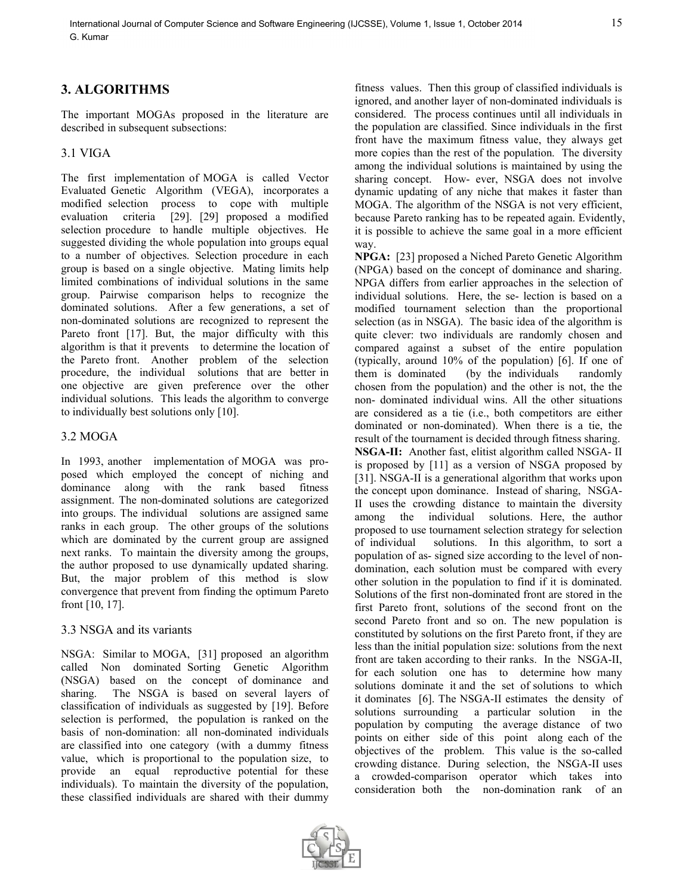## **3. ALGORITHMS**

The important MOGAs proposed in the literature are described in subsequent subsections:

#### 3.1 VIGA

The first implementation of MOGA is called Vector Evaluated Genetic Algorithm (VEGA), incorporates a modified selection process to cope with multiple evaluation criteria [29]. [29] proposed a modified selection procedure to handle multiple objectives. He suggested dividing the whole population into groups equal to a number of objectives. Selection procedure in each group is based on a single objective. Mating limits help limited combinations of individual solutions in the same group. Pairwise comparison helps to recognize the dominated solutions. After a few generations, a set of non-dominated solutions are recognized to represent the Pareto front [17]. But, the major difficulty with this algorithm is that it prevents to determine the location of the Pareto front. Another problem of the selection procedure, the individual solutions that are better in one objective are given preference over the other individual solutions. This leads the algorithm to converge to individually best solutions only [10].

#### 3.2 MOGA

In 1993, another implementation of MOGA was proposed which employed the concept of niching and dominance along with the rank based fitness assignment. The non-dominated solutions are categorized into groups. The individual solutions are assigned same ranks in each group. The other groups of the solutions which are dominated by the current group are assigned next ranks. To maintain the diversity among the groups, the author proposed to use dynamically updated sharing. But, the major problem of this method is slow convergence that prevent from finding the optimum Pareto front [10, 17].

#### 3.3 NSGA and its variants

NSGA: Similar to MOGA, [31] proposed an algorithm called Non dominated Sorting Genetic Algorithm (NSGA) based on the concept of dominance and sharing. The NSGA is based on several layers of classification of individuals as suggested by [19]. Before selection is performed, the population is ranked on the basis of non-domination: all non-dominated individuals are classified into one category (with a dummy fitness value, which is proportional to the population size, to provide an equal reproductive potential for these individuals). To maintain the diversity of the population, these classified individuals are shared with their dummy

fitness values. Then this group of classified individuals is ignored, and another layer of non-dominated individuals is considered. The process continues until all individuals in the population are classified. Since individuals in the first front have the maximum fitness value, they always get more copies than the rest of the population. The diversity among the individual solutions is maintained by using the sharing concept. How- ever, NSGA does not involve dynamic updating of any niche that makes it faster than MOGA. The algorithm of the NSGA is not very efficient, because Pareto ranking has to be repeated again. Evidently, it is possible to achieve the same goal in a more efficient way.

**NPGA:** [23] proposed a Niched Pareto Genetic Algorithm (NPGA) based on the concept of dominance and sharing. NPGA differs from earlier approaches in the selection of individual solutions. Here, the se- lection is based on a modified tournament selection than the proportional selection (as in NSGA). The basic idea of the algorithm is quite clever: two individuals are randomly chosen and compared against a subset of the entire population (typically, around 10% of the population) [6]. If one of (by the individuals randomly chosen from the population) and the other is not, the the non- dominated individual wins. All the other situations are considered as a tie (i.e., both competitors are either dominated or non-dominated). When there is a tie, the result of the tournament is decided through fitness sharing. **NSGA-II:** Another fast, elitist algorithm called NSGA- II is proposed by [11] as a version of NSGA proposed by [31]. NSGA-II is a generational algorithm that works upon the concept upon dominance. Instead of sharing, NSGA-II uses the crowding distance to maintain the diversity among the individual solutions. Here, the author proposed to use tournament selection strategy for selection of individual solutions. In this algorithm, to sort a population of as- signed size according to the level of nondomination, each solution must be compared with every other solution in the population to find if it is dominated. Solutions of the first non-dominated front are stored in the first Pareto front, solutions of the second front on the second Pareto front and so on. The new population is constituted by solutions on the first Pareto front, if they are less than the initial population size: solutions from the next front are taken according to their ranks. In the NSGA-II, for each solution one has to determine how many solutions dominate it and the set of solutions to which it dominates [6]. The NSGA-II estimates the density of solutions surrounding a particular solution in the population by computing the average distance of two points on either side of this point along each of the objectives of the problem. This value is the so-called crowding distance. During selection, the NSGA-II uses a crowded-comparison operator which takes into consideration both the non-domination rank of an

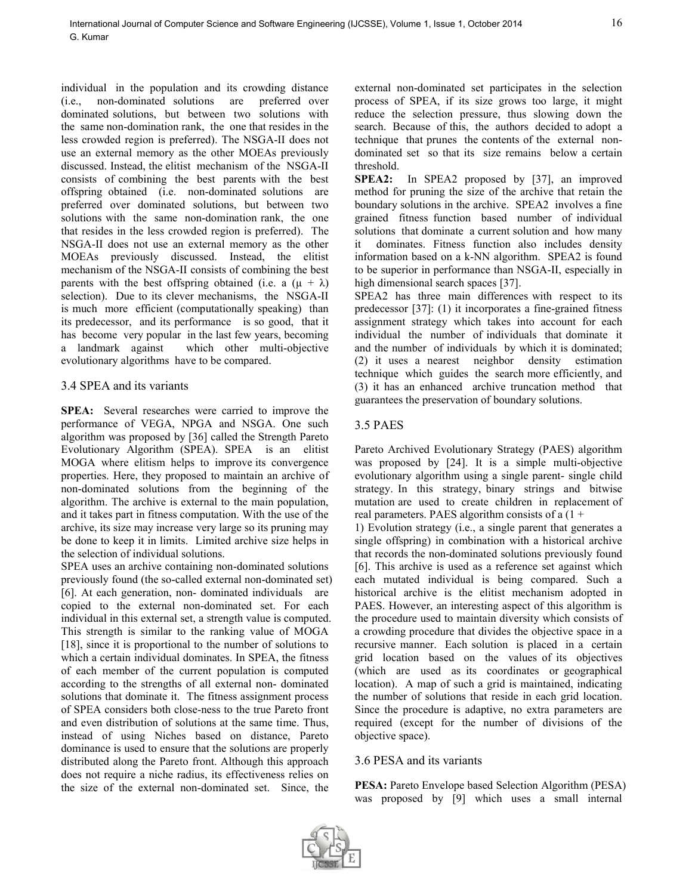individual in the population and its crowding distance (i.e., non-dominated solutions are preferred over dominated solutions, but between two solutions with the same non-domination rank, the one that resides in the less crowded region is preferred). The NSGA-II does not use an external memory as the other MOEAs previously discussed. Instead, the elitist mechanism of the NSGA-II consists of combining the best parents with the best offspring obtained (i.e. non-dominated solutions are preferred over dominated solutions, but between two solutions with the same non-domination rank, the one that resides in the less crowded region is preferred). The NSGA-II does not use an external memory as the other MOEAs previously discussed. Instead, the elitist mechanism of the NSGA-II consists of combining the best parents with the best offspring obtained (i.e. a  $(\mu + \lambda)$ ) selection). Due to its clever mechanisms, the NSGA-II is much more efficient (computationally speaking) than its predecessor, and its performance is so good, that it has become very popular in the last few years, becoming<br>a landmark against which other multi-objective which other multi-objective evolutionary algorithms have to be compared.

#### 3.4 SPEA and its variants

**SPEA:** Several researches were carried to improve the performance of VEGA, NPGA and NSGA. One such algorithm was proposed by [36] called the Strength Pareto Evolutionary Algorithm (SPEA). SPEA is an elitist MOGA where elitism helps to improve its convergence properties. Here, they proposed to maintain an archive of non-dominated solutions from the beginning of the algorithm. The archive is external to the main population, and it takes part in fitness computation. With the use of the archive, its size may increase very large so its pruning may be done to keep it in limits. Limited archive size helps in the selection of individual solutions.

SPEA uses an archive containing non-dominated solutions previously found (the so-called external non-dominated set) [6]. At each generation, non- dominated individuals are copied to the external non-dominated set. For each individual in this external set, a strength value is computed. This strength is similar to the ranking value of MOGA [18], since it is proportional to the number of solutions to which a certain individual dominates. In SPEA, the fitness of each member of the current population is computed according to the strengths of all external non- dominated solutions that dominate it. The fitness assignment process of SPEA considers both close-ness to the true Pareto front and even distribution of solutions at the same time. Thus, instead of using Niches based on distance, Pareto dominance is used to ensure that the solutions are properly distributed along the Pareto front. Although this approach does not require a niche radius, its effectiveness relies on the size of the external non-dominated set. Since, the

external non-dominated set participates in the selection process of SPEA, if its size grows too large, it might reduce the selection pressure, thus slowing down the search. Because of this, the authors decided to adopt a technique that prunes the contents of the external nondominated set so that its size remains below a certain threshold.

**SPEA2:** In SPEA2 proposed by [37], an improved method for pruning the size of the archive that retain the boundary solutions in the archive. SPEA2 involves a fine grained fitness function based number of individual solutions that dominate a current solution and how many it dominates. Fitness function also includes density information based on a k-NN algorithm. SPEA2 is found to be superior in performance than NSGA-II, especially in high dimensional search spaces [37].

SPEA2 has three main differences with respect to its predecessor [37]: (1) it incorporates a fine-grained fitness assignment strategy which takes into account for each individual the number of individuals that dominate it and the number of individuals by which it is dominated; (2) it uses a nearest neighbor density estimation technique which guides the search more efficiently, and (3) it has an enhanced archive truncation method that guarantees the preservation of boundary solutions.

#### 3.5 PAES

Pareto Archived Evolutionary Strategy (PAES) algorithm was proposed by [24]. It is a simple multi-objective evolutionary algorithm using a single parent- single child strategy. In this strategy, binary strings and bitwise mutation are used to create children in replacement of real parameters. PAES algorithm consists of a  $(1 +$ 

1) Evolution strategy (i.e., a single parent that generates a single offspring) in combination with a historical archive that records the non-dominated solutions previously found [6]. This archive is used as a reference set against which each mutated individual is being compared. Such a historical archive is the elitist mechanism adopted in PAES. However, an interesting aspect of this algorithm is the procedure used to maintain diversity which consists of a crowding procedure that divides the objective space in a recursive manner. Each solution is placed in a certain grid location based on the values of its objectives (which are used as its coordinates or geographical location). A map of such a grid is maintained, indicating the number of solutions that reside in each grid location. Since the procedure is adaptive, no extra parameters are required (except for the number of divisions of the objective space).

#### 3.6 PESA and its variants

**PESA:** Pareto Envelope based Selection Algorithm (PESA) was proposed by [9] which uses a small internal

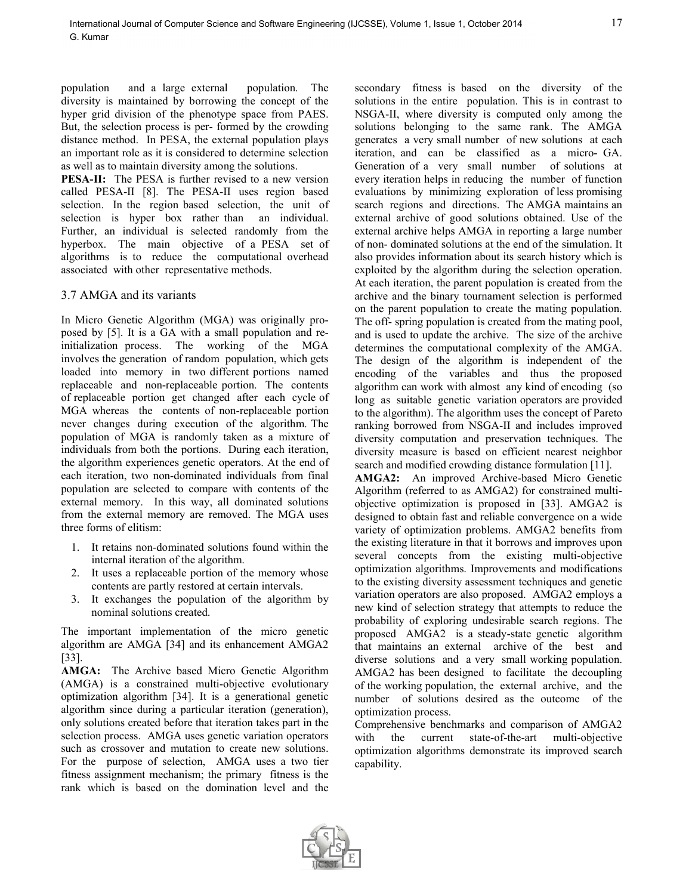population and a large external population. The diversity is maintained by borrowing the concept of the hyper grid division of the phenotype space from PAES. But, the selection process is per- formed by the crowding distance method. In PESA, the external population plays an important role as it is considered to determine selection as well as to maintain diversity among the solutions.

**PESA-II:** The PESA is further revised to a new version called PESA-II [8]. The PESA-II uses region based selection. In the region based selection, the unit of selection is hyper box rather than an individual. Further, an individual is selected randomly from the hyperbox. The main objective of a PESA set of algorithms is to reduce the computational overhead associated with other representative methods.

#### 3.7 AMGA and its variants

In Micro Genetic Algorithm (MGA) was originally proposed by [5]. It is a GA with a small population and reinitialization process. The working of the MGA involves the generation of random population, which gets loaded into memory in two different portions named replaceable and non-replaceable portion. The contents of replaceable portion get changed after each cycle of MGA whereas the contents of non-replaceable portion never changes during execution of the algorithm. The population of MGA is randomly taken as a mixture of individuals from both the portions. During each iteration, the algorithm experiences genetic operators. At the end of each iteration, two non-dominated individuals from final population are selected to compare with contents of the external memory. In this way, all dominated solutions from the external memory are removed. The MGA uses three forms of elitism:

- 1. It retains non-dominated solutions found within the internal iteration of the algorithm.
- 2. It uses a replaceable portion of the memory whose contents are partly restored at certain intervals.
- 3. It exchanges the population of the algorithm by nominal solutions created.

The important implementation of the micro genetic algorithm are AMGA [34] and its enhancement AMGA2 [33].

**AMGA:** The Archive based Micro Genetic Algorithm (AMGA) is a constrained multi-objective evolutionary optimization algorithm [34]. It is a generational genetic algorithm since during a particular iteration (generation), only solutions created before that iteration takes part in the selection process. AMGA uses genetic variation operators such as crossover and mutation to create new solutions. For the purpose of selection, AMGA uses a two tier fitness assignment mechanism; the primary fitness is the rank which is based on the domination level and the

secondary fitness is based on the diversity of the solutions in the entire population. This is in contrast to NSGA-II, where diversity is computed only among the solutions belonging to the same rank. The AMGA generates a very small number of new solutions at each iteration, and can be classified as a micro- GA. Generation of a very small number of solutions at every iteration helps in reducing the number of function evaluations by minimizing exploration of less promising search regions and directions. The AMGA maintains an external archive of good solutions obtained. Use of the external archive helps AMGA in reporting a large number of non- dominated solutions at the end of the simulation. It also provides information about its search history which is exploited by the algorithm during the selection operation. At each iteration, the parent population is created from the archive and the binary tournament selection is performed on the parent population to create the mating population. The off- spring population is created from the mating pool, and is used to update the archive. The size of the archive determines the computational complexity of the AMGA. The design of the algorithm is independent of the encoding of the variables and thus the proposed algorithm can work with almost any kind of encoding (so long as suitable genetic variation operators are provided to the algorithm). The algorithm uses the concept of Pareto ranking borrowed from NSGA-II and includes improved diversity computation and preservation techniques. The diversity measure is based on efficient nearest neighbor search and modified crowding distance formulation [11].

**AMGA2:** An improved Archive-based Micro Genetic Algorithm (referred to as AMGA2) for constrained multiobjective optimization is proposed in [33]. AMGA2 is designed to obtain fast and reliable convergence on a wide variety of optimization problems. AMGA2 benefits from the existing literature in that it borrows and improves upon several concepts from the existing multi-objective optimization algorithms. Improvements and modifications to the existing diversity assessment techniques and genetic variation operators are also proposed. AMGA2 employs a new kind of selection strategy that attempts to reduce the probability of exploring undesirable search regions. The proposed AMGA2 is a steady-state genetic algorithm that maintains an external archive of the best and diverse solutions and a very small working population. AMGA2 has been designed to facilitate the decoupling of the working population, the external archive, and the number of solutions desired as the outcome of the optimization process.

Comprehensive benchmarks and comparison of AMGA2 with the current state-of-the-art multi-objective optimization algorithms demonstrate its improved search capability.

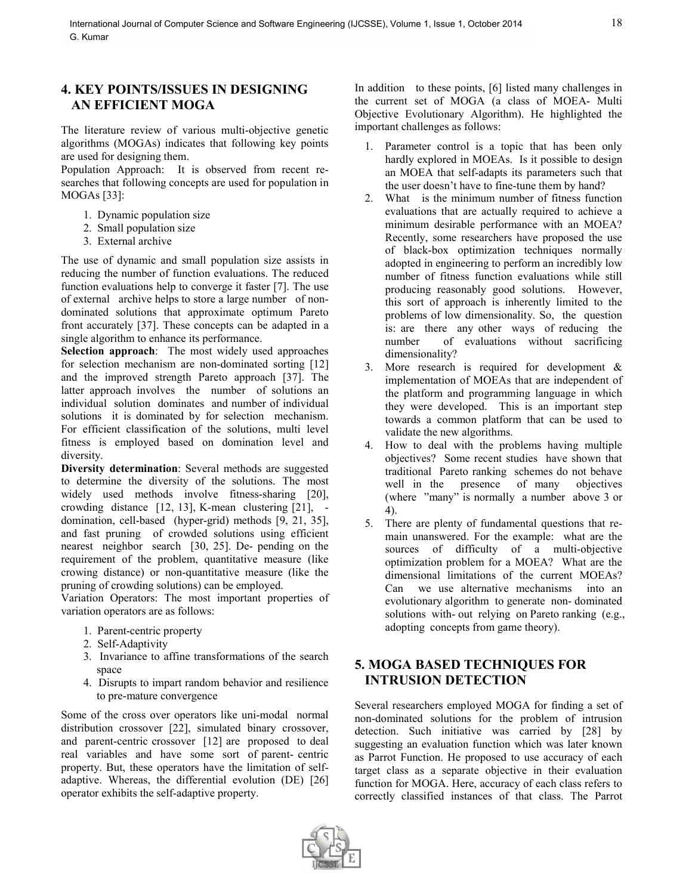## **4. KEY POINTS/ISSUES IN DESIGNING AN EFFICIENT MOGA**

The literature review of various multi-objective genetic algorithms (MOGAs) indicates that following key points are used for designing them.

Population Approach: It is observed from recent researches that following concepts are used for population in MOGAs [33]:

- 1. Dynamic population size
- 2. Small population size
- 3. External archive

The use of dynamic and small population size assists in reducing the number of function evaluations. The reduced function evaluations help to converge it faster [7]. The use of external archive helps to store a large number of nondominated solutions that approximate optimum Pareto front accurately [37]. These concepts can be adapted in a single algorithm to enhance its performance.

**Selection approach**: The most widely used approaches for selection mechanism are non-dominated sorting [12] and the improved strength Pareto approach [37]. The latter approach involves the number of solutions an individual solution dominates and number of individual solutions it is dominated by for selection mechanism. For efficient classification of the solutions, multi level fitness is employed based on domination level and diversity.

**Diversity determination**: Several methods are suggested to determine the diversity of the solutions. The most widely used methods involve fitness-sharing [20], crowding distance [12, 13], K-mean clustering [21], domination, cell-based (hyper-grid) methods [9, 21, 35], and fast pruning of crowded solutions using efficient nearest neighbor search [30, 25]. De- pending on the requirement of the problem, quantitative measure (like crowing distance) or non-quantitative measure (like the pruning of crowding solutions) can be employed.

Variation Operators: The most important properties of variation operators are as follows:

- 1. Parent-centric property
- 2. Self-Adaptivity
- 3. Invariance to affine transformations of the search space
- 4. Disrupts to impart random behavior and resilience to pre-mature convergence

Some of the cross over operators like uni-modal normal distribution crossover [22], simulated binary crossover, and parent-centric crossover [12] are proposed to deal real variables and have some sort of parent- centric property. But, these operators have the limitation of selfadaptive. Whereas, the differential evolution (DE) [26] operator exhibits the self-adaptive property.

In addition to these points, [6] listed many challenges in the current set of MOGA (a class of MOEA- Multi Objective Evolutionary Algorithm). He highlighted the important challenges as follows:

- 1. Parameter control is a topic that has been only hardly explored in MOEAs. Is it possible to design an MOEA that self-adapts its parameters such that the user doesn't have to fine-tune them by hand?
- 2. What is the minimum number of fitness function evaluations that are actually required to achieve a minimum desirable performance with an MOEA? Recently, some researchers have proposed the use of black-box optimization techniques normally adopted in engineering to perform an incredibly low number of fitness function evaluations while still producing reasonably good solutions. However, this sort of approach is inherently limited to the problems of low dimensionality. So, the question is: are there any other ways of reducing the number of evaluations without sacrificing dimensionality?
- 3. More research is required for development & implementation of MOEAs that are independent of the platform and programming language in which they were developed. This is an important step towards a common platform that can be used to validate the new algorithms.
- 4. How to deal with the problems having multiple objectives? Some recent studies have shown that traditional Pareto ranking schemes do not behave well in the presence of many objectives (where "many" is normally a number above 3 or 4).
- 5. There are plenty of fundamental questions that remain unanswered. For the example: what are the sources of difficulty of a multi-objective optimization problem for a MOEA? What are the dimensional limitations of the current MOEAs? Can we use alternative mechanisms into an evolutionary algorithm to generate non- dominated solutions with- out relying on Pareto ranking (e.g., adopting concepts from game theory).

## **5. MOGA BASED TECHNIQUES FOR INTRUSION DETECTION**

Several researchers employed MOGA for finding a set of non-dominated solutions for the problem of intrusion detection. Such initiative was carried by [28] by suggesting an evaluation function which was later known as Parrot Function. He proposed to use accuracy of each target class as a separate objective in their evaluation function for MOGA. Here, accuracy of each class refers to correctly classified instances of that class. The Parrot

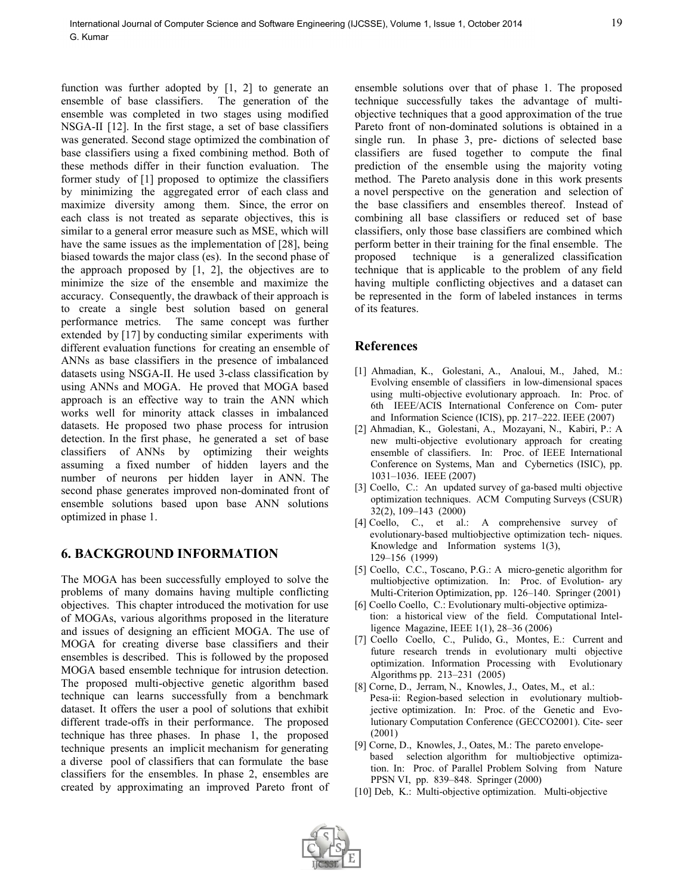function was further adopted by  $[1, 2]$  to generate an ensemble of base classifiers. The generation of the ensemble was completed in two stages using modified NSGA-II [12]. In the first stage, a set of base classifiers was generated. Second stage optimized the combination of base classifiers using a fixed combining method. Both of these methods differ in their function evaluation. The former study of [1] proposed to optimize the classifiers by minimizing the aggregated error of each class and maximize diversity among them. Since, the error on each class is not treated as separate objectives, this is similar to a general error measure such as MSE, which will have the same issues as the implementation of [28], being biased towards the major class (es). In the second phase of the approach proposed by  $[1, 2]$ , the objectives are to minimize the size of the ensemble and maximize the accuracy. Consequently, the drawback of their approach is to create a single best solution based on general performance metrics. The same concept was further extended by [17] by conducting similar experiments with different evaluation functions for creating an ensemble of ANNs as base classifiers in the presence of imbalanced datasets using NSGA-II. He used 3-class classification by using ANNs and MOGA. He proved that MOGA based approach is an effective way to train the ANN which works well for minority attack classes in imbalanced datasets. He proposed two phase process for intrusion detection. In the first phase, he generated a set of base classifiers of ANNs by optimizing their weights assuming a fixed number of hidden layers and the number of neurons per hidden layer in ANN. The second phase generates improved non-dominated front of ensemble solutions based upon base ANN solutions optimized in phase 1.

## **6. BACKGROUND INFORMATION**

The MOGA has been successfully employed to solve the problems of many domains having multiple conflicting objectives. This chapter introduced the motivation for use of MOGAs, various algorithms proposed in the literature and issues of designing an efficient MOGA. The use of MOGA for creating diverse base classifiers and their ensembles is described. This is followed by the proposed MOGA based ensemble technique for intrusion detection. The proposed multi-objective genetic algorithm based technique can learns successfully from a benchmark dataset. It offers the user a pool of solutions that exhibit different trade-offs in their performance. The proposed technique has three phases. In phase 1, the proposed technique presents an implicit mechanism for generating a diverse pool of classifiers that can formulate the base classifiers for the ensembles. In phase 2, ensembles are created by approximating an improved Pareto front of

ensemble solutions over that of phase 1. The proposed technique successfully takes the advantage of multiobjective techniques that a good approximation of the true Pareto front of non-dominated solutions is obtained in a single run. In phase 3, pre- dictions of selected base classifiers are fused together to compute the final prediction of the ensemble using the majority voting method. The Pareto analysis done in this work presents a novel perspective on the generation and selection of the base classifiers and ensembles thereof. Instead of combining all base classifiers or reduced set of base classifiers, only those base classifiers are combined which perform better in their training for the final ensemble. The proposed technique is a generalized classification technique that is applicable to the problem of any field having multiple conflicting objectives and a dataset can be represented in the form of labeled instances in terms of its features.

### **References**

- [1] Ahmadian, K., Golestani, A., Analoui, M., Jahed, M.: Evolving ensemble of classifiers in low-dimensional spaces using multi-objective evolutionary approach. In: Proc. of 6th IEEE/ACIS International Conference on Com- puter and Information Science (ICIS), pp. 217–222. IEEE (2007)
- [2] Ahmadian, K., Golestani, A., Mozayani, N., Kabiri, P.: A new multi-objective evolutionary approach for creating ensemble of classifiers. In: Proc. of IEEE International Conference on Systems, Man and Cybernetics (ISIC), pp. 1031–1036. IEEE (2007)
- [3] Coello, C.: An updated survey of ga-based multi objective optimization techniques. ACM Computing Surveys (CSUR) 32(2), 109–143 (2000)
- [4] Coello, C., et al.: A comprehensive survey of evolutionary-based multiobjective optimization tech- niques. Knowledge and Information systems 1(3), 129–156 (1999)
- [5] Coello, C.C., Toscano, P.G.: A micro-genetic algorithm for multiobjective optimization. In: Proc. of Evolution- ary Multi-Criterion Optimization, pp. 126–140. Springer (2001)
- [6] Coello Coello, C.: Evolutionary multi-objective optimization: a historical view of the field. Computational Intelligence Magazine, IEEE 1(1), 28–36 (2006)
- [7] Coello Coello, C., Pulido, G., Montes, E.: Current and future research trends in evolutionary multi objective optimization. Information Processing with Evolutionary Algorithms pp. 213–231 (2005)
- [8] Corne, D., Jerram, N., Knowles, J., Oates, M., et al.: Pesa-ii: Region-based selection in evolutionary multiobjective optimization. In: Proc. of the Genetic and Evolutionary Computation Conference (GECCO2001). Cite- seer (2001)
- [9] Corne, D., Knowles, J., Oates, M.: The pareto envelopebased selection algorithm for multiobjective optimization. In: Proc. of Parallel Problem Solving from Nature PPSN VI, pp. 839–848. Springer (2000)
- [10] Deb, K.: Multi-objective optimization. Multi-objective